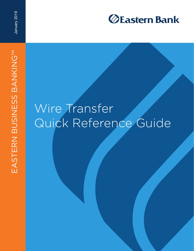

January 2019

## Wire Transfer Quick Reference Guide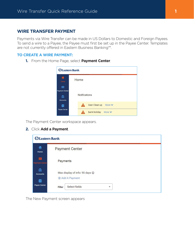## **WIRE TRANSFER PAYMENT**

Payments via Wire Transfer can be made in US Dollars to Domestic and Foreign Payees. To send a wire to a Payee, the Payee must first be set up in the Payee Center. Templates are not currently offered in Eastern Business Banking™.

## **TO CREATE A WIRE PAYMENT:**

**1.** From the Home Page, select **Payment Center**.



The Payment Center workspace appears.

**2.** Click **Add a Payment**.

| <b>Eastern Bank</b>                     |                                                   |
|-----------------------------------------|---------------------------------------------------|
| 昔<br>Home                               | <b>Payment Center</b>                             |
| $\blacksquare$<br><b>Payment Center</b> | Payments                                          |
| 血<br><b>Accounts</b><br>ᆁ               | Max display of info: 90 days 1<br>+ Add A Payment |
| <b>Payee Center</b>                     | Select fields<br><b>Filter</b><br>۰               |

The New Payment screen appears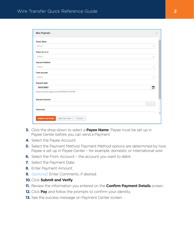| <b>New Payment</b>                                   |                           | $\times$ |
|------------------------------------------------------|---------------------------|----------|
| Payee Name                                           |                           |          |
| Select                                               | ۳                         |          |
| Payee Account                                        |                           |          |
| Select                                               | $\mathbf{v}$              |          |
| <b>Payment Method</b>                                |                           |          |
| Select                                               | $\mathbf v$               |          |
| <b>From Account</b>                                  |                           |          |
| Select                                               | $\boldsymbol{\mathrm{v}}$ |          |
| <b>Payment Date</b>                                  |                           |          |
| 00/00/0000                                           | $\mathbb{H}$              |          |
| Payment must be approved by 00/00/0000 00:00 EST     |                           |          |
| <b>Payment Amount</b>                                |                           |          |
|                                                      |                           |          |
| Comments                                             |                           |          |
|                                                      |                           |          |
| <b>Submit and Verify</b><br>Save for Later<br>Cancel |                           |          |

- **3.** Click the drop-down to select a **Payee Name**. Payee must be set up in Payee Center before you can send a Payment
- **4.** Select the Payee Account.
- **5.** Select the Payment Method. Payment Method options are determined by how Payee is set up in Payee Center – for example, domestic or international wire
- **6.** Select the From Account the account you want to debit.
- **7.** Select the Payment Date.
- **8.** Enter Payment Amount.
- **9.** *(optional)* Enter Comments, if desired.
- **10.** Click **Submit and Verify**.
- **11.** Review the information you entered on the **Confirm Payment Details** screen.
- **12.** Click **Pay** and follow the prompts to confirm your identity.
- **13.** See the success message on Payment Center screen.